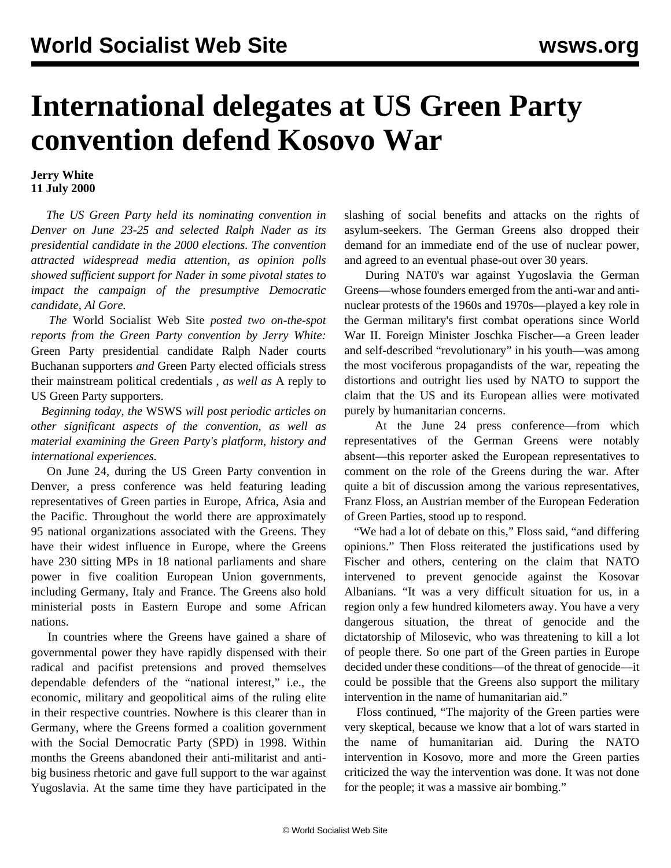## **International delegates at US Green Party convention defend Kosovo War**

## **Jerry White 11 July 2000**

 *The US Green Party held its nominating convention in Denver on June 23-25 and selected Ralph Nader as its presidential candidate in the 2000 elections. The convention attracted widespread media attention, as opinion polls showed sufficient support for Nader in some pivotal states to impact the campaign of the presumptive Democratic candidate, Al Gore.*

 *The* World Socialist Web Site *posted two on-the-spot reports from the Green Party convention by Jerry White:* [Green Party presidential candidate Ralph Nader courts](../jun2000/gp1-j27.shtml) [Buchanan supporters](../jun2000/gp1-j27.shtml) *and* [Green Party elected officials stress](../jun2000/gp2-j27.shtml) [their mainstream political credentials](../jun2000/gp2-j27.shtml) *, as well as* [A reply to](grn-j03.shtml) [US Green Party supporters.](grn-j03.shtml)

 *Beginning today, the* WSWS *will post periodic articles on other significant aspects of the convention, as well as material examining the Green Party's platform, history and international experiences.*

 On June 24, during the US Green Party convention in Denver, a press conference was held featuring leading representatives of Green parties in Europe, Africa, Asia and the Pacific. Throughout the world there are approximately 95 national organizations associated with the Greens. They have their widest influence in Europe, where the Greens have 230 sitting MPs in 18 national parliaments and share power in five coalition European Union governments, including Germany, Italy and France. The Greens also hold ministerial posts in Eastern Europe and some African nations.

 In countries where the Greens have gained a share of governmental power they have rapidly dispensed with their radical and pacifist pretensions and proved themselves dependable defenders of the "national interest," i.e., the economic, military and geopolitical aims of the ruling elite in their respective countries. Nowhere is this clearer than in Germany, where the Greens formed a coalition government with the Social Democratic Party (SPD) in 1998. Within months the Greens abandoned their anti-militarist and antibig business rhetoric and gave full support to the war against Yugoslavia. At the same time they have participated in the

slashing of social benefits and attacks on the rights of asylum-seekers. The German Greens also dropped their demand for an immediate end of the use of nuclear power, and agreed to an eventual phase-out over 30 years.

 During NAT0's war against Yugoslavia the German Greens—whose founders emerged from the anti-war and antinuclear protests of the 1960s and 1970s—played a key role in the German military's first combat operations since World War II. Foreign Minister Joschka Fischer—a Green leader and self-described "revolutionary" in his youth—was among the most vociferous propagandists of the war, repeating the distortions and outright lies used by NATO to support the claim that the US and its European allies were motivated purely by humanitarian concerns.

 At the June 24 press conference—from which representatives of the German Greens were notably absent—this reporter asked the European representatives to comment on the role of the Greens during the war. After quite a bit of discussion among the various representatives, Franz Floss, an Austrian member of the European Federation of Green Parties, stood up to respond.

"We had a lot of debate on this," Floss said, "and differing opinions." Then Floss reiterated the justifications used by Fischer and others, centering on the claim that NATO intervened to prevent genocide against the Kosovar Albanians. "It was a very difficult situation for us, in a region only a few hundred kilometers away. You have a very dangerous situation, the threat of genocide and the dictatorship of Milosevic, who was threatening to kill a lot of people there. So one part of the Green parties in Europe decided under these conditions—of the threat of genocide—it could be possible that the Greens also support the military intervention in the name of humanitarian aid."

 Floss continued, "The majority of the Green parties were very skeptical, because we know that a lot of wars started in the name of humanitarian aid. During the NATO intervention in Kosovo, more and more the Green parties criticized the way the intervention was done. It was not done for the people; it was a massive air bombing."